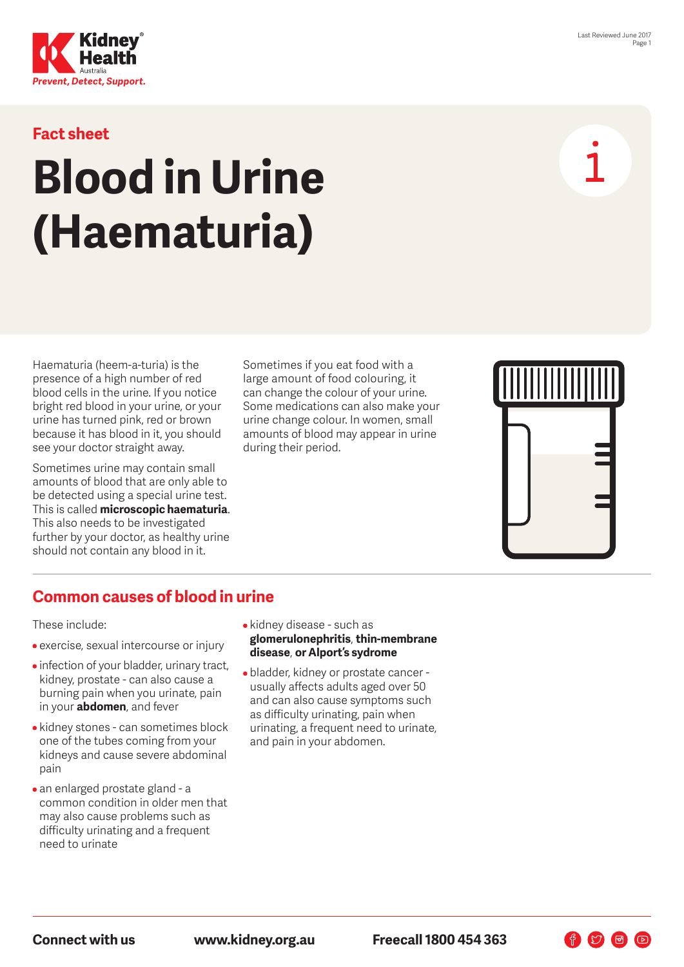



#### **Fact sheet**

# **Blood in Urine (Haematuria)**

Haematuria (heem-a-turia) is the presence of a high number of red blood cells in the urine. If you notice bright red blood in your urine, or your urine has turned pink, red or brown because it has blood in it, you should see your doctor straight away.

Sometimes urine may contain small amounts of blood that are only able to be detected using a special urine test. This is called **microscopic haematuria**. This also needs to be investigated further by your doctor, as healthy urine should not contain any blood in it.

Sometimes if you eat food with a large amount of food colouring, it can change the colour of your urine. Some medications can also make your urine change colour. In women, small amounts of blood may appear in urine during their period.



作幻日回

#### **Common causes of blood in urine**

These include:

- exercise, sexual intercourse or injury
- infection of your bladder, urinary tract, kidney, prostate - can also cause a burning pain when you urinate, pain in your **abdomen**, and fever
- kidney stones can sometimes block one of the tubes coming from your kidneys and cause severe abdominal pain
- an enlarged prostate gland a common condition in older men that may also cause problems such as difficulty urinating and a frequent need to urinate
- kidney disease such as **glomerulonephritis**, **thin-membrane disease**, **or Alport's sydrome**
- bladder, kidney or prostate cancer usually affects adults aged over 50 and can also cause symptoms such as difficulty urinating, pain when urinating, a frequent need to urinate, and pain in your abdomen.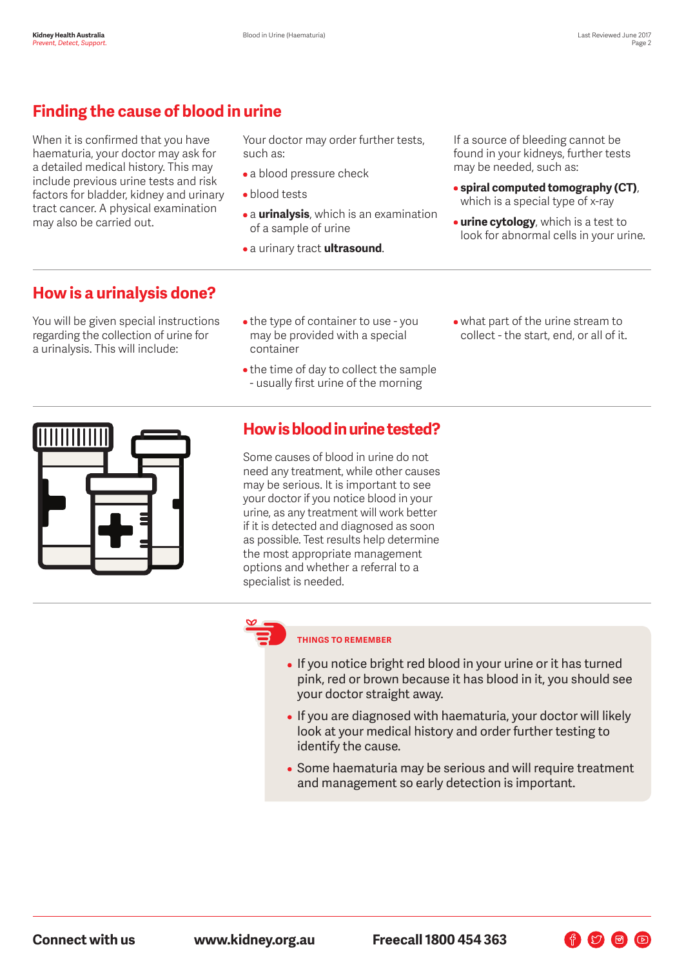# **Finding the cause of blood in urine**

When it is confirmed that you have haematuria, your doctor may ask for a detailed medical history. This may include previous urine tests and risk factors for bladder, kidney and urinary tract cancer. A physical examination may also be carried out.

Your doctor may order further tests, such as:

- a blood pressure check
- blood tests
- a **urinalysis**, which is an examination of a sample of urine
- a urinary tract **ultrasound**.

If a source of bleeding cannot be found in your kidneys, further tests may be needed, such as:

- **spiral computed tomography (CT)**, which is a special type of x-ray
- **urine cytology**, which is a test to look for abnormal cells in your urine.

#### **How is a urinalysis done?**

You will be given special instructions regarding the collection of urine for a urinalysis. This will include:

- the type of container to use you may be provided with a special container
- the time of day to collect the sample - usually first urine of the morning
- what part of the urine stream to collect - the start, end, or all of it.



### **How is blood in urine tested?**

Some causes of blood in urine do not need any treatment, while other causes may be serious. It is important to see your doctor if you notice blood in your urine, as any treatment will work better if it is detected and diagnosed as soon as possible. Test results help determine the most appropriate management options and whether a referral to a specialist is needed.



#### **THINGS TO REMEMBER**

- If you notice bright red blood in your urine or it has turned pink, red or brown because it has blood in it, you should see your doctor straight away.
- If you are diagnosed with haematuria, your doctor will likely look at your medical history and order further testing to identify the cause.
- Some haematuria may be serious and will require treatment and management so early detection is important.